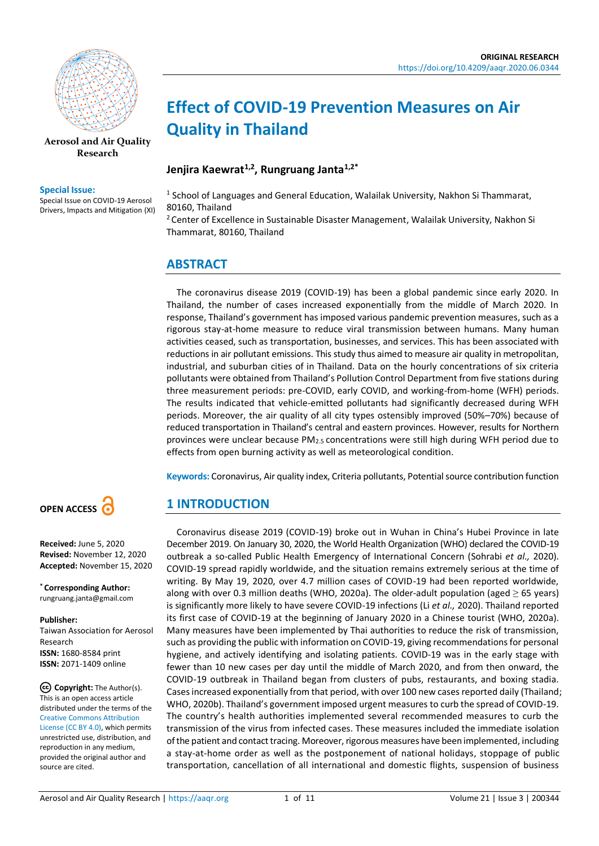

**[Aerosol and Air Quality](https://aaqr.org/)  [Research](https://aaqr.org/)**

#### **Special Issue:**

Special Issue on COVID-19 Aerosol Drivers, Impacts and Mitigation (XI)

# **Effect of COVID-19 Prevention Measures on Air Quality in Thailand**

#### **Jenjira Kaewrat1,2, Rungruang Janta1,2\***

<sup>1</sup> School of Languages and General Education, Walailak University, Nakhon Si Thammarat, 80160, Thailand

<sup>2</sup> Center of Excellence in Sustainable Disaster Management, Walailak University, Nakhon Si Thammarat, 80160, Thailand

## **ABSTRACT**

The coronavirus disease 2019 (COVID-19) has been a global pandemic since early 2020. In Thailand, the number of cases increased exponentially from the middle of March 2020. In response, Thailand's government has imposed various pandemic prevention measures, such as a rigorous stay-at-home measure to reduce viral transmission between humans. Many human activities ceased, such as transportation, businesses, and services. This has been associated with reductions in air pollutant emissions. This study thus aimed to measure air quality in metropolitan, industrial, and suburban cities of in Thailand. Data on the hourly concentrations of six criteria pollutants were obtained from Thailand's Pollution Control Department from five stations during three measurement periods: pre-COVID, early COVID, and working-from-home (WFH) periods. The results indicated that vehicle-emitted pollutants had significantly decreased during WFH periods. Moreover, the air quality of all city types ostensibly improved (50%–70%) because of reduced transportation in Thailand's central and eastern provinces. However, results for Northern provinces were unclear because PM2.5 concentrations were still high during WFH period due to effects from open burning activity as well as meteorological condition.

**Keywords:** Coronavirus, Air quality index, Criteria pollutants, Potential source contribution function

# **1 INTRODUCTION**

Coronavirus disease 2019 (COVID-19) broke out in Wuhan in China's Hubei Province in late December 2019. On January 30, 2020, the World Health Organization (WHO) declared the COVID-19 outbreak a so-called Public Health Emergency of International Concern (Sohrabi *et al.,* 2020). COVID-19 spread rapidly worldwide, and the situation remains extremely serious at the time of writing. By May 19, 2020, over 4.7 million cases of COVID-19 had been reported worldwide, along with over 0.3 million deaths (WHO, 2020a). The older-adult population (aged  $\geq$  65 years) is significantly more likely to have severe COVID-19 infections (Li *et al.,* 2020). Thailand reported its first case of COVID-19 at the beginning of January 2020 in a Chinese tourist (WHO, 2020a). Many measures have been implemented by Thai authorities to reduce the risk of transmission, such as providing the public with information on COVID-19, giving recommendations for personal hygiene, and actively identifying and isolating patients. COVID-19 was in the early stage with fewer than 10 new cases per day until the middle of March 2020, and from then onward, the COVID-19 outbreak in Thailand began from clusters of pubs, restaurants, and boxing stadia. Cases increased exponentially from that period, with over 100 new cases reported daily (Thailand; WHO, 2020b). Thailand's government imposed urgent measures to curb the spread of COVID-19. The country's health authorities implemented several recommended measures to curb the transmission of the virus from infected cases. These measures included the immediate isolation of the patient and contact tracing. Moreover, rigorous measures have been implemented, including a stay-at-home order as well as the postponement of national holidays, stoppage of public transportation, cancellation of all international and domestic flights, suspension of business



#### **Received:** June 5, 2020 **Revised:** November 12, 2020 **Accepted:** November 15, 2020

**\* Corresponding Author:** rungruang.janta@gmail.com

#### **Publisher:**

Taiwan Association for Aerosol Research **ISSN:** 1680-8584 print **ISSN:** 2071-1409 online

**Copyright:** The Author(s). This is an open access article distributed under the terms of the [Creative Commons Attribution](https://creativecommons.org/licenses/by/4.0/)  [License \(CC BY 4.0\),](https://creativecommons.org/licenses/by/4.0/) which permits unrestricted use, distribution, and reproduction in any medium, provided the original author and source are cited.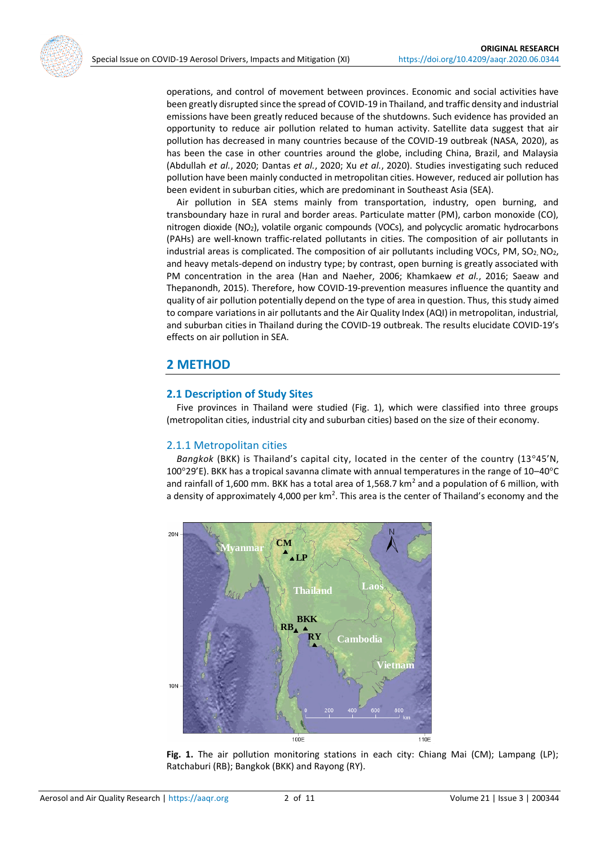operations, and control of movement between provinces. Economic and social activities have been greatly disrupted since the spread of COVID-19 in Thailand, and traffic density and industrial emissions have been greatly reduced because of the shutdowns. Such evidence has provided an opportunity to reduce air pollution related to human activity. Satellite data suggest that air pollution has decreased in many countries because of the COVID-19 outbreak (NASA, 2020), as has been the case in other countries around the globe, including China, Brazil, and Malaysia (Abdullah *et al.*, 2020; Dantas *et al.*, 2020; Xu *et al.*, 2020). Studies investigating such reduced pollution have been mainly conducted in metropolitan cities. However, reduced air pollution has been evident in suburban cities, which are predominant in Southeast Asia (SEA).

Air pollution in SEA stems mainly from transportation, industry, open burning, and transboundary haze in rural and border areas. Particulate matter (PM), carbon monoxide (CO), nitrogen dioxide (NO2), volatile organic compounds (VOCs), and polycyclic aromatic hydrocarbons (PAHs) are well-known traffic-related pollutants in cities. The composition of air pollutants in industrial areas is complicated. The composition of air pollutants including VOCs, PM,  $SO_2, NO_2$ , and heavy metals-depend on industry type; by contrast, open burning is greatly associated with PM concentration in the area (Han and Naeher, 2006; Khamkaew *et al.*, 2016; Saeaw and Thepanondh, 2015). Therefore, how COVID-19-prevention measures influence the quantity and quality of air pollution potentially depend on the type of area in question. Thus, this study aimed to compare variations in air pollutants and the Air Quality Index (AQI) in metropolitan, industrial, and suburban cities in Thailand during the COVID-19 outbreak. The results elucidate COVID-19's effects on air pollution in SEA.

## **2 METHOD**

#### **2.1 Description of Study Sites**

Five provinces in Thailand were studied (Fig. 1), which were classified into three groups (metropolitan cities, industrial city and suburban cities) based on the size of their economy.

## 2.1.1 Metropolitan cities

*Bangkok* (BKK) is Thailand's capital city, located in the center of the country (13°45'N, 100°29'E). BKK has a tropical savanna climate with annual temperatures in the range of 10–40°C and rainfall of 1,600 mm. BKK has a total area of 1,568.7 km<sup>2</sup> and a population of 6 million, with a density of approximately 4,000 per  $km^2$ . This area is the center of Thailand's economy and the



**Fig. 1.** The air pollution monitoring stations in each city: Chiang Mai (CM); Lampang (LP); Ratchaburi (RB); Bangkok (BKK) and Rayong (RY).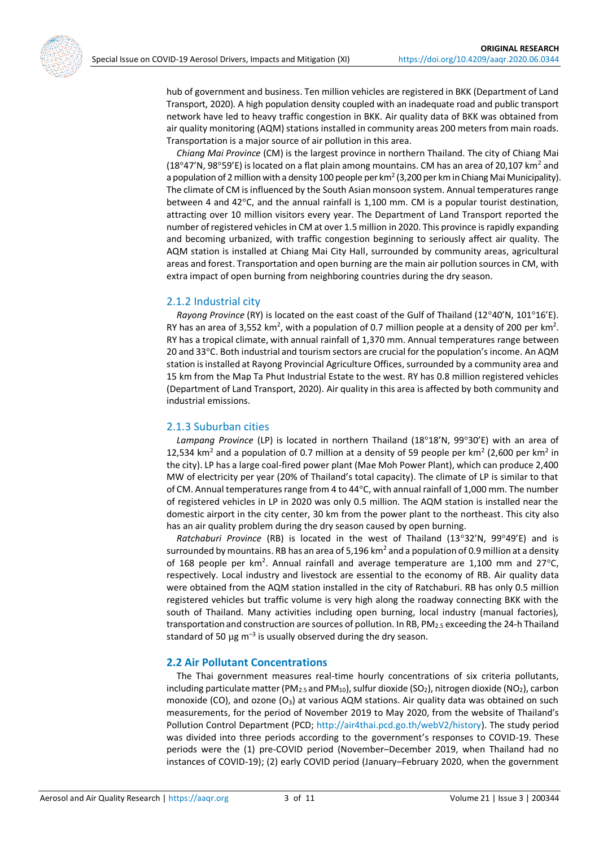hub of government and business. Ten million vehicles are registered in BKK (Department of Land Transport, 2020). A high population density coupled with an inadequate road and public transport network have led to heavy traffic congestion in BKK. Air quality data of BKK was obtained from air quality monitoring (AQM) stations installed in community areas 200 meters from main roads. Transportation is a major source of air pollution in this area.

*Chiang Mai Province* (CM) is the largest province in northern Thailand. The city of Chiang Mai (18°47'N, 98°59'E) is located on a flat plain among mountains. CM has an area of 20,107 km<sup>2</sup> and a population of 2 million with a density 100 people per km<sup>2</sup> (3,200 per km in Chiang Mai Municipality). The climate of CM is influenced by the South Asian monsoon system. Annual temperatures range between 4 and 42°C, and the annual rainfall is 1,100 mm. CM is a popular tourist destination, attracting over 10 million visitors every year. The Department of Land Transport reported the number of registered vehicles in CM at over 1.5 million in 2020. This province is rapidly expanding and becoming urbanized, with traffic congestion beginning to seriously affect air quality. The AQM station is installed at Chiang Mai City Hall, surrounded by community areas, agricultural areas and forest. Transportation and open burning are the main air pollution sources in CM, with extra impact of open burning from neighboring countries during the dry season.

#### 2.1.2 Industrial city

*Rayong Province* (RY) is located on the east coast of the Gulf of Thailand (12°40'N, 101°16'E). RY has an area of 3,552 km<sup>2</sup>, with a population of 0.7 million people at a density of 200 per km<sup>2</sup>. RY has a tropical climate, with annual rainfall of 1,370 mm. Annual temperatures range between 20 and 33°C. Both industrial and tourism sectors are crucial for the population's income. An AQM station is installed at Rayong Provincial Agriculture Offices, surrounded by a community area and 15 km from the Map Ta Phut Industrial Estate to the west. RY has 0.8 million registered vehicles (Department of Land Transport, 2020). Air quality in this area is affected by both community and industrial emissions.

#### 2.1.3 Suburban cities

*Lampang Province* (LP) is located in northern Thailand (18°18'N, 99°30'E) with an area of 12,534 km<sup>2</sup> and a population of 0.7 million at a density of 59 people per km<sup>2</sup> (2,600 per km<sup>2</sup> in the city). LP has a large coal-fired power plant (Mae Moh Power Plant), which can produce 2,400 MW of electricity per year (20% of Thailand's total capacity). The climate of LP is similar to that of CM. Annual temperatures range from 4 to 44°C, with annual rainfall of 1,000 mm. The number of registered vehicles in LP in 2020 was only 0.5 million. The AQM station is installed near the domestic airport in the city center, 30 km from the power plant to the northeast. This city also has an air quality problem during the dry season caused by open burning.

*Ratchaburi Province* (RB) is located in the west of Thailand (13°32'N, 99°49'E) and is surrounded by mountains. RB has an area of 5,196 km<sup>2</sup> and a population of 0.9 million at a density of 168 people per km<sup>2</sup>. Annual rainfall and average temperature are 1,100 mm and 27 $\degree$ C, respectively. Local industry and livestock are essential to the economy of RB. Air quality data were obtained from the AQM station installed in the city of Ratchaburi. RB has only 0.5 million registered vehicles but traffic volume is very high along the roadway connecting BKK with the south of Thailand. Many activities including open burning, local industry (manual factories), transportation and construction are sources of pollution. In RB, PM2.5 exceeding the 24-h Thailand standard of 50  $\mu$ g m<sup>-3</sup> is usually observed during the dry season.

## **2.2 Air Pollutant Concentrations**

The Thai government measures real-time hourly concentrations of six criteria pollutants, including particulate matter (PM<sub>2.5</sub> and PM<sub>10</sub>), sulfur dioxide (SO<sub>2</sub>), nitrogen dioxide (NO<sub>2</sub>), carbon monoxide (CO), and ozone (O3) at various AQM stations. Air quality data was obtained on such measurements, for the period of November 2019 to May 2020, from the website of Thailand's Pollution Control Department (PCD; [http://air4thai.pcd.go.th/webV2/history\)](http://air4thai.pcd.go.th/webV2/history). The study period was divided into three periods according to the government's responses to COVID-19. These periods were the (1) pre-COVID period (November–December 2019, when Thailand had no instances of COVID-19); (2) early COVID period (January–February 2020, when the government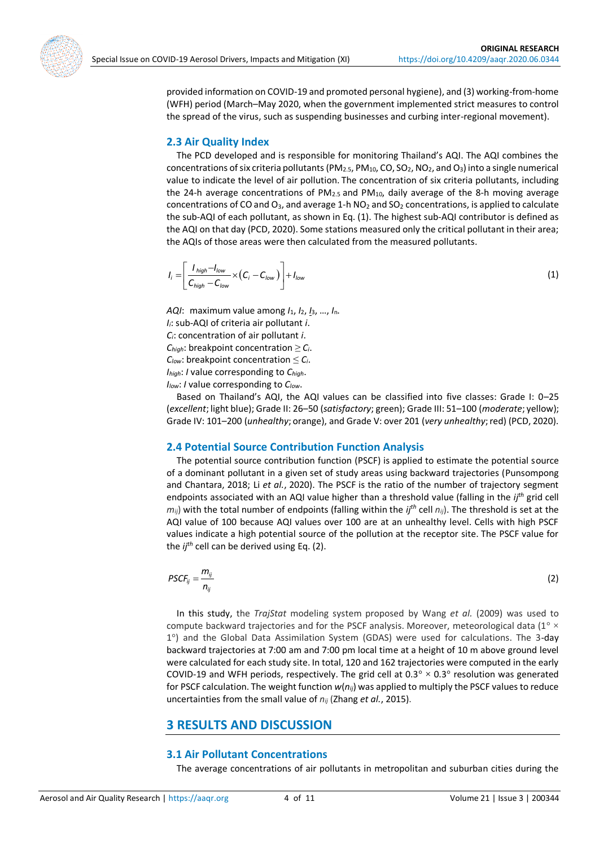provided information on COVID-19 and promoted personal hygiene), and (3) working-from-home (WFH) period (March–May 2020, when the government implemented strict measures to control the spread of the virus, such as suspending businesses and curbing inter-regional movement).

#### **2.3 Air Quality Index**

The PCD developed and is responsible for monitoring Thailand's AQI. The AQI combines the concentrations of six criteria pollutants (PM2.5, PM10, CO, SO2, NO2, and O3) into a single numerical value to indicate the level of air pollution. The concentration of six criteria pollutants, including the 24-h average concentrations of  $PM_{2.5}$  and  $PM_{10}$ , daily average of the 8-h moving average concentrations of CO and O<sub>3</sub>, and average 1-h  $NO<sub>2</sub>$  and  $SO<sub>2</sub>$  concentrations, is applied to calculate the sub-AQI of each pollutant, as shown in Eq. (1). The highest sub-AQI contributor is defined as the AQI on that day (PCD, 2020). Some stations measured only the critical pollutant in their area; the AQIs of those areas were then calculated from the measured pollutants.

$$
I_i = \left[ \frac{I_{high} - I_{low}}{C_{high} - C_{low}} \times (C_i - C_{low}) \right] + I_{low}
$$
\n(1)

*AQI*: maximum value among *I*1, *I*2, *I*3, …, *I*n. *Ii*: sub-AQI of criteria air pollutant *i*. *Ci*: concentration of air pollutant *i*.  $C_{\text{hiah}}$ : breakpoint concentration  $\geq C_i$ .  $C_{low}$ : breakpoint concentration  $\leq C_i$ . *Ihigh*: *I* value corresponding to *Chigh*. *Ilow*: *I* value corresponding to *Clow*.

Based on Thailand's AQI, the AQI values can be classified into five classes: Grade I: 0–25 (*excellent*; light blue); Grade II: 26–50 (*satisfactory*; green); Grade III: 51–100 (*moderate*; yellow); Grade IV: 101–200 (*unhealthy*; orange), and Grade V: over 201 (*very unhealthy*; red) (PCD, 2020).

## **2.4 Potential Source Contribution Function Analysis**

The potential source contribution function (PSCF) is applied to estimate the potential source of a dominant pollutant in a given set of study areas using backward trajectories (Punsompong and Chantara, 2018; Li *et al.*, 2020). The PSCF is the ratio of the number of trajectory segment endpoints associated with an AQI value higher than a threshold value (falling in the *ijth* grid cell  $m_{ij}$ ) with the total number of endpoints (falling within the *ij*<sup>th</sup> cell  $n_{ij}$ ). The threshold is set at the AQI value of 100 because AQI values over 100 are at an unhealthy level. Cells with high PSCF values indicate a high potential source of the pollution at the receptor site. The PSCF value for the *ijth* cell can be derived using Eq. (2).

$$
PSCF_{ij} = \frac{m_{ij}}{n_{ij}}\tag{2}
$$

In this study, the *TrajStat* modeling system proposed by Wang *et al.* (2009) was used to compute backward trajectories and for the PSCF analysis. Moreover, meteorological data ( $1^{\circ} \times$ 1°) and the Global Data Assimilation System (GDAS) were used for calculations. The 3-day backward trajectories at 7:00 am and 7:00 pm local time at a height of 10 m above ground level were calculated for each study site. In total, 120 and 162 trajectories were computed in the early COVID-19 and WFH periods, respectively. The grid cell at  $0.3^{\circ} \times 0.3^{\circ}$  resolution was generated for PSCF calculation. The weight function *w*(*nij*) was applied to multiply the PSCF values to reduce uncertainties from the small value of *nij* (Zhang *et al.*, 2015).

# **3 RESULTS AND DISCUSSION**

#### **3.1 Air Pollutant Concentrations**

The average concentrations of air pollutants in metropolitan and suburban cities during the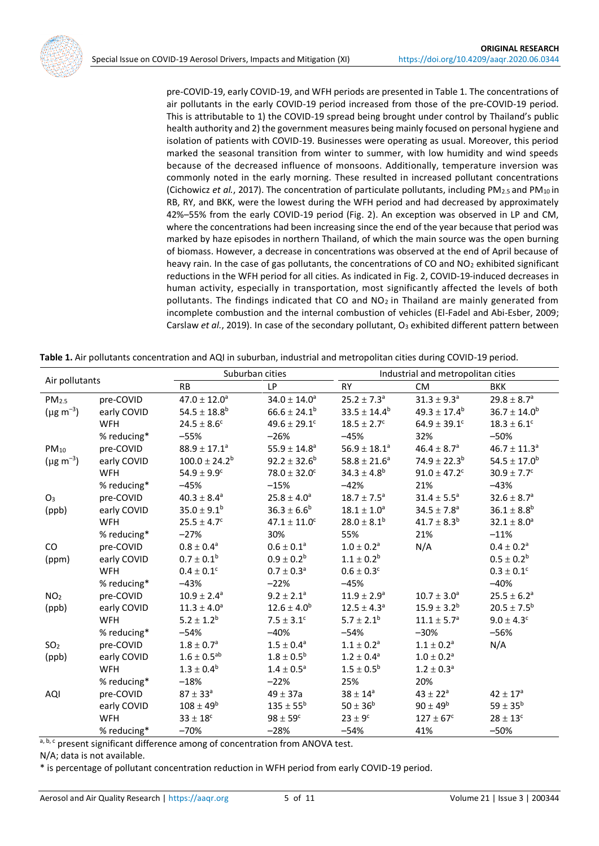pre-COVID-19, early COVID-19, and WFH periods are presented in Table 1. The concentrations of air pollutants in the early COVID-19 period increased from those of the pre-COVID-19 period. This is attributable to 1) the COVID-19 spread being brought under control by Thailand's public health authority and 2) the government measures being mainly focused on personal hygiene and isolation of patients with COVID-19. Businesses were operating as usual. Moreover, this period marked the seasonal transition from winter to summer, with low humidity and wind speeds because of the decreased influence of monsoons. Additionally, temperature inversion was commonly noted in the early morning. These resulted in increased pollutant concentrations (Cichowicz *et al.*, 2017). The concentration of particulate pollutants, including PM<sub>2.5</sub> and PM<sub>10</sub> in RB, RY, and BKK, were the lowest during the WFH period and had decreased by approximately 42%–55% from the early COVID-19 period (Fig. 2). An exception was observed in LP and CM, where the concentrations had been increasing since the end of the year because that period was marked by haze episodes in northern Thailand, of which the main source was the open burning of biomass. However, a decrease in concentrations was observed at the end of April because of heavy rain. In the case of gas pollutants, the concentrations of CO and NO<sub>2</sub> exhibited significant reductions in the WFH period for all cities. As indicated in Fig. 2, COVID-19-induced decreases in human activity, especially in transportation, most significantly affected the levels of both pollutants. The findings indicated that CO and  $NO<sub>2</sub>$  in Thailand are mainly generated from incomplete combustion and the internal combustion of vehicles (El-Fadel and Abi-Esber, 2009; Carslaw *et al.*, 2019). In case of the secondary pollutant, O<sub>3</sub> exhibited different pattern between

| Air pollutants      |             | Suburban cities         |                          | Industrial and metropolitan cities |                              |                        |
|---------------------|-------------|-------------------------|--------------------------|------------------------------------|------------------------------|------------------------|
|                     |             | <b>RB</b>               | <b>LP</b>                | <b>RY</b>                          | <b>CM</b>                    | <b>BKK</b>             |
| PM <sub>2.5</sub>   | pre-COVID   | $47.0 \pm 12.0^a$       | $34.0 \pm 14.0^a$        | $25.2 \pm 7.3^a$                   | $31.3 \pm 9.3^a$             | $29.8 \pm 8.7^a$       |
| $(\mu g \, m^{-3})$ | early COVID | $54.5 \pm 18.8^b$       | $66.6 \pm 24.1^b$        | $33.5 \pm 14.4^b$                  | $49.3 \pm 17.4^b$            | $36.7 \pm 14.0^b$      |
|                     | <b>WFH</b>  | $24.5 \pm 8.6^c$        | $49.6 \pm 29.1^c$        | $18.5 \pm 2.7^c$                   | $64.9 \pm 39.1^c$            | $18.3 \pm 6.1^{\circ}$ |
|                     | % reducing* | $-55%$                  | $-26%$                   | $-45%$                             | 32%                          | $-50%$                 |
| $PM_{10}$           | pre-COVID   | $88.9 \pm 17.1^{\rm a}$ | $55.9 \pm 14.8^{\rm a}$  | $56.9 \pm 18.1^a$                  | $46.4 \pm 8.7^{\rm a}$       | $46.7 \pm 11.3^a$      |
| $(\mu g \, m^{-3})$ | early COVID | $100.0 \pm 24.2^b$      | $92.2 \pm 32.6^b$        | $58.8 \pm 21.6^a$                  | $74.9 \pm 22.3^b$            | $54.5 \pm 17.0^b$      |
|                     | <b>WFH</b>  | $54.9 \pm 9.9^c$        | $78.0 \pm 32.0^c$        | $34.3 \pm 4.8^b$                   | $91.0 \pm 47.2$ <sup>c</sup> | $30.9 \pm 7.7^c$       |
|                     | % reducing* | $-45%$                  | $-15%$                   | $-42%$                             | 21%                          | $-43%$                 |
| O <sub>3</sub>      | pre-COVID   | $40.3 \pm 8.4^a$        | $25.8 \pm 4.0^a$         | $18.7 \pm 7.5^a$                   | $31.4 \pm 5.5^a$             | $32.6 \pm 8.7^a$       |
| (ppb)               | early COVID | $35.0 \pm 9.1^b$        | $36.3 \pm 6.6^b$         | $18.1\pm1.0^{\text{a}}$            | $34.5 \pm 7.8^a$             | $36.1 \pm 8.8^b$       |
|                     | <b>WFH</b>  | $25.5 \pm 4.7^c$        | $47.1 \pm 11.0^c$        | $28.0 \pm 8.1^b$                   | $41.7 \pm 8.3^{b}$           | $32.1 \pm 8.0^a$       |
|                     | % reducing* | $-27%$                  | 30%                      | 55%                                | 21%                          | $-11%$                 |
| CO                  | pre-COVID   | $0.8\pm0.4^{\rm a}$     | $0.6\pm0.1^{\rm a}$      | $1.0\pm0.2^{\rm a}$                | N/A                          | $0.4\pm0.2^{\text{a}}$ |
| (ppm)               | early COVID | $0.7 \pm 0.1^b$         | $0.9 \pm 0.2^b$          | $1.1 \pm 0.2^b$                    |                              | $0.5\pm0.2^{\text{b}}$ |
|                     | <b>WFH</b>  | $0.4\pm0.1^{\circ}$     | $0.7 \pm 0.3^a$          | $0.6 \pm 0.3^c$                    |                              | $0.3\pm0.1^{\rm c}$    |
|                     | % reducing* | $-43%$                  | $-22%$                   | $-45%$                             |                              | $-40%$                 |
| NO <sub>2</sub>     | pre-COVID   | $10.9 \pm 2.4^a$        | $9.2 \pm 2.1^a$          | $11.9 \pm 2.9^a$                   | $10.7 \pm 3.0^a$             | $25.5 \pm 6.2^a$       |
| (ppb)               | early COVID | $11.3 \pm 4.0^a$        | $12.6 \pm 4.0^b$         | $12.5 \pm 4.3^a$                   | $15.9 \pm 3.2^b$             | $20.5 \pm 7.5^b$       |
|                     | <b>WFH</b>  | $5.2 \pm 1.2^b$         | $7.5 \pm 3.1^c$          | $5.7 \pm 2.1^b$                    | $11.1 \pm 5.7^a$             | $9.0 \pm 4.3^c$        |
|                     | % reducing* | $-54%$                  | $-40%$                   | $-54%$                             | $-30%$                       | $-56%$                 |
| SO <sub>2</sub>     | pre-COVID   | $1.8\pm0.7^{\rm a}$     | $1.5 \pm 0.4^a$          | $1.1 \pm 0.2^a$                    | $1.1 \pm 0.2^a$              | N/A                    |
| (ppb)               | early COVID | $1.6\pm0.5^{\text{ab}}$ | $1.8 \pm 0.5^b$          | $1.2 \pm 0.4^a$                    | $1.0\pm0.2^{\text{a}}$       |                        |
|                     | <b>WFH</b>  | $1.3\pm0.4^b$           | $1.4 \pm 0.5^{\text{a}}$ | $1.5 \pm 0.5^b$                    | $1.2 \pm 0.3^a$              |                        |
|                     | % reducing* | $-18%$                  | $-22%$                   | 25%                                | 20%                          |                        |
| AQI                 | pre-COVID   | $87 \pm 33^a$           | $49 \pm 37a$             | $38 \pm 14^a$                      | $43 \pm 22^a$                | $42\pm17^{\rm a}$      |
|                     | early COVID | $108 \pm 49^b$          | $\rm 135 \pm 55^b$       | $50 \pm 36^b$                      | $90 \pm 49^b$                | $59 \pm 35^{\text{b}}$ |
|                     | <b>WFH</b>  | $33 \pm 18^c$           | $98 \pm 59^{\circ}$      | $23 \pm 9^c$                       | $127 \pm 67^c$               | $28 \pm 13^c$          |
|                     | % reducing* | $-70%$                  | $-28%$                   | $-54%$                             | 41%                          | $-50%$                 |

| Table 1. Air pollutants concentration and AQI in suburban, industrial and metropolitan cities during COVID-19 period. |  |  |
|-----------------------------------------------------------------------------------------------------------------------|--|--|
|-----------------------------------------------------------------------------------------------------------------------|--|--|

a, b, c present significant difference among of concentration from ANOVA test.

N/A; data is not available.

\* is percentage of pollutant concentration reduction in WFH period from early COVID-19 period.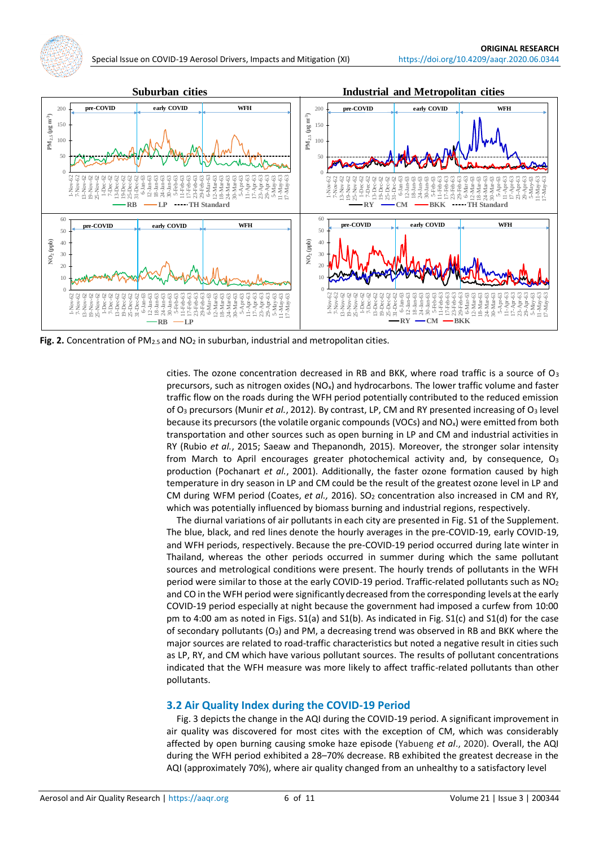

**Fig. 2.** Concentration of PM<sub>2.5</sub> and NO<sub>2</sub> in suburban, industrial and metropolitan cities.

cities. The ozone concentration decreased in RB and BKK, where road traffic is a source of  $O_3$ precursors, such as nitrogen oxides ( $NO<sub>x</sub>$ ) and hydrocarbons. The lower traffic volume and faster traffic flow on the roads during the WFH period potentially contributed to the reduced emission of O<sup>3</sup> precursors (Munir *et al.*, 2012). By contrast, LP, CM and RY presented increasing of O<sup>3</sup> level because its precursors (the volatile organic compounds (VOCs) and NO<sub>x</sub>) were emitted from both transportation and other sources such as open burning in LP and CM and industrial activities in RY (Rubio *et al.*, 2015; Saeaw and Thepanondh, 2015). Moreover, the stronger solar intensity from March to April encourages greater photochemical activity and, by consequence,  $O_3$ production (Pochanart *et al.*, 2001). Additionally, the faster ozone formation caused by high temperature in dry season in LP and CM could be the result of the greatest ozone level in LP and CM during WFM period (Coates, et al., 2016). SO<sub>2</sub> concentration also increased in CM and RY, which was potentially influenced by biomass burning and industrial regions, respectively.

The diurnal variations of air pollutants in each city are presented in Fig. S1 of the Supplement. The blue, black, and red lines denote the hourly averages in the pre-COVID-19, early COVID-19, and WFH periods, respectively. Because the pre-COVID-19 period occurred during late winter in Thailand, whereas the other periods occurred in summer during which the same pollutant sources and metrological conditions were present. The hourly trends of pollutants in the WFH period were similar to those at the early COVID-19 period. Traffic-related pollutants such as NO<sup>2</sup> and CO in the WFH period were significantly decreased from the corresponding levels at the early COVID-19 period especially at night because the government had imposed a curfew from 10:00 pm to 4:00 am as noted in Figs. S1(a) and S1(b). As indicated in Fig. S1(c) and S1(d) for the case of secondary pollutants (O3) and PM, a decreasing trend was observed in RB and BKK where the major sources are related to road-traffic characteristics but noted a negative result in cities such as LP, RY, and CM which have various pollutant sources. The results of pollutant concentrations indicated that the WFH measure was more likely to affect traffic-related pollutants than other pollutants.

#### **3.2 Air Quality Index during the COVID-19 Period**

Fig. 3 depicts the change in the AQI during the COVID-19 period. A significant improvement in air quality was discovered for most cites with the exception of CM, which was considerably affected by open burning causing smoke haze episode (Yabueng *et al*., 2020). Overall, the AQI during the WFH period exhibited a 28–70% decrease. RB exhibited the greatest decrease in the AQI (approximately 70%), where air quality changed from an unhealthy to a satisfactory level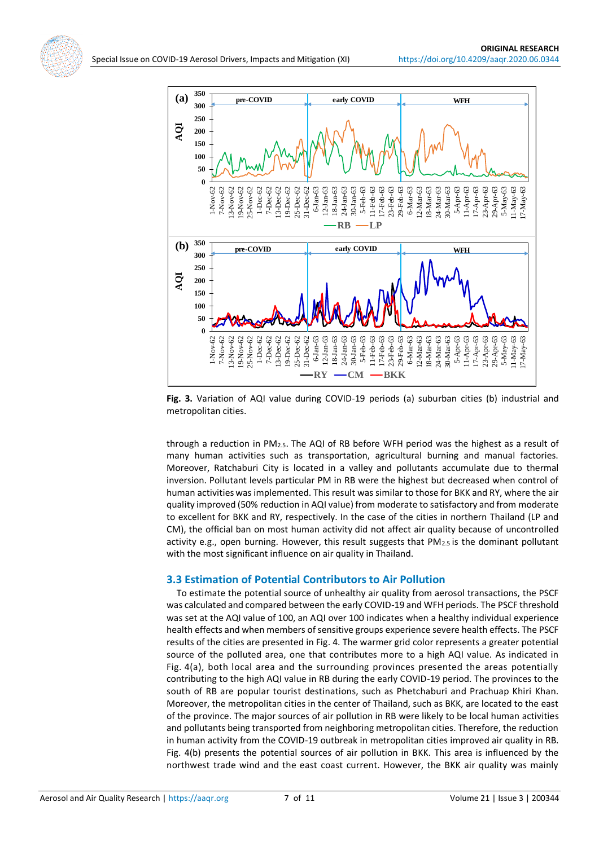



**Fig. 3.** Variation of AQI value during COVID-19 periods (a) suburban cities (b) industrial and metropolitan cities.

through a reduction in PM2.5. The AQI of RB before WFH period was the highest as a result of many human activities such as transportation, agricultural burning and manual factories. Moreover, Ratchaburi City is located in a valley and pollutants accumulate due to thermal inversion. Pollutant levels particular PM in RB were the highest but decreased when control of human activities was implemented. This result was similar to those for BKK and RY, where the air quality improved (50% reduction in AQI value) from moderate to satisfactory and from moderate to excellent for BKK and RY, respectively. In the case of the cities in northern Thailand (LP and CM), the official ban on most human activity did not affect air quality because of uncontrolled activity e.g., open burning. However, this result suggests that PM2.5 is the dominant pollutant with the most significant influence on air quality in Thailand.

#### **3.3 Estimation of Potential Contributors to Air Pollution**

To estimate the potential source of unhealthy air quality from aerosol transactions, the PSCF was calculated and compared between the early COVID-19 and WFH periods. The PSCF threshold was set at the AQI value of 100, an AQI over 100 indicates when a healthy individual experience health effects and when members of sensitive groups experience severe health effects. The PSCF results of the cities are presented in Fig. 4. The warmer grid color represents a greater potential source of the polluted area, one that contributes more to a high AQI value. As indicated in Fig. 4(a), both local area and the surrounding provinces presented the areas potentially contributing to the high AQI value in RB during the early COVID-19 period. The provinces to the south of RB are popular tourist destinations, such as Phetchaburi and Prachuap Khiri Khan. Moreover, the metropolitan cities in the center of Thailand, such as BKK, are located to the east of the province. The major sources of air pollution in RB were likely to be local human activities and pollutants being transported from neighboring metropolitan cities. Therefore, the reduction in human activity from the COVID-19 outbreak in metropolitan cities improved air quality in RB. Fig. 4(b) presents the potential sources of air pollution in BKK. This area is influenced by the northwest trade wind and the east coast current. However, the BKK air quality was mainly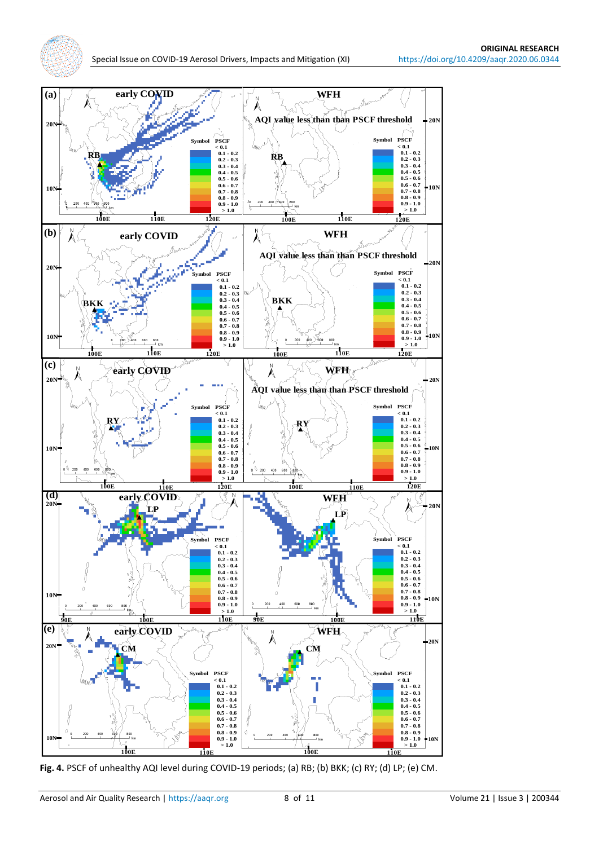

**Fig. 4.** PSCF of unhealthy AQI level during COVID-19 periods; (a) RB; (b) BKK; (c) RY; (d) LP; (e) CM.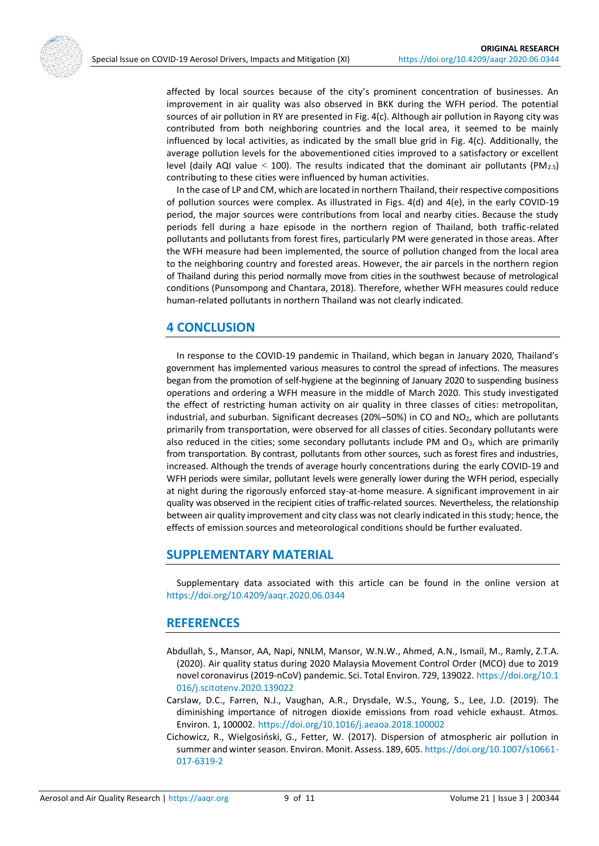affected by local sources because of the city's prominent concentration of businesses. An improvement in air quality was also observed in BKK during the WFH period. The potential sources of air pollution in RY are presented in Fig. 4(c). Although air pollution in Rayong city was contributed from both neighboring countries and the local area, it seemed to be mainly influenced by local activities, as indicated by the small blue grid in Fig. 4(c). Additionally, the average pollution levels for the abovementioned cities improved to a satisfactory or excellent level (daily AQI value  $<$  100). The results indicated that the dominant air pollutants (PM<sub>2.5</sub>) contributing to these cities were influenced by human activities.

In the case of LP and CM, which are located in northern Thailand, their respective compositions of pollution sources were complex. As illustrated in Figs. 4(d) and 4(e), in the early COVID-19 period, the major sources were contributions from local and nearby cities. Because the study periods fell during a haze episode in the northern region of Thailand, both traffic-related pollutants and pollutants from forest fires, particularly PM were generated in those areas. After the WFH measure had been implemented, the source of pollution changed from the local area to the neighboring country and forested areas. However, the air parcels in the northern region of Thailand during this period normally move from cities in the southwest because of metrological conditions (Punsompong and Chantara, 2018). Therefore, whether WFH measures could reduce human-related pollutants in northern Thailand was not clearly indicated.

# **4 CONCLUSION**

In response to the COVID-19 pandemic in Thailand, which began in January 2020, Thailand's government has implemented various measures to control the spread of infections. The measures began from the promotion of self-hygiene at the beginning of January 2020 to suspending business operations and ordering a WFH measure in the middle of March 2020. This study investigated the effect of restricting human activity on air quality in three classes of cities: metropolitan, industrial, and suburban. Significant decreases ( $20\% - 50\%$ ) in CO and NO<sub>2</sub>, which are pollutants primarily from transportation, were observed for all classes of cities. Secondary pollutants were also reduced in the cities; some secondary pollutants include PM and  $O_3$ , which are primarily from transportation. By contrast, pollutants from other sources, such as forest fires and industries, increased. Although the trends of average hourly concentrations during the early COVID-19 and WFH periods were similar, pollutant levels were generally lower during the WFH period, especially at night during the rigorously enforced stay-at-home measure. A significant improvement in air quality was observed in the recipient cities of traffic-related sources. Nevertheless, the relationship between air quality improvement and city class was not clearly indicated in this study; hence, the effects of emission sources and meteorological conditions should be further evaluated.

# **SUPPLEMENTARY MATERIAL**

Supplementary data associated with this article can be found in the online version at <https://doi.org/10.4209/aaqr.2020.06.0344>

## **REFERENCES**

- Abdullah, S., Mansor, AA, Napi, NNLM, Mansor, W.N.W., Ahmed, A.N., Ismail, M., Ramly, Z.T.A. (2020). Air quality status during 2020 Malaysia Movement Control Order (MCO) due to 2019 novel coronavirus (2019-nCoV) pandemic. Sci. Total Environ. 729, 139022. [https://doi.org/10.1](https://doi.org/10.1016/j.scitotenv.2020.139022) [016/j.scitotenv.2020.139022](https://doi.org/10.1016/j.scitotenv.2020.139022)
- Carslaw, D.C., Farren, N.J., Vaughan, A.R., Drysdale, W.S., Young, S., Lee, J.D. (2019). The diminishing importance of nitrogen dioxide emissions from road vehicle exhaust. Atmos. Environ. 1, 100002. <https://doi.org/10.1016/j.aeaoa.2018.100002>
- Cichowicz, R., Wielgosiński, G., Fetter, W. (2017). Dispersion of atmospheric air pollution in summer and winter season. Environ. Monit. Assess. 189, 605. [https://doi.org/10.1007/s10661-](https://doi.org/10.1007/s10661-017-6319-2) [017-6319-2](https://doi.org/10.1007/s10661-017-6319-2)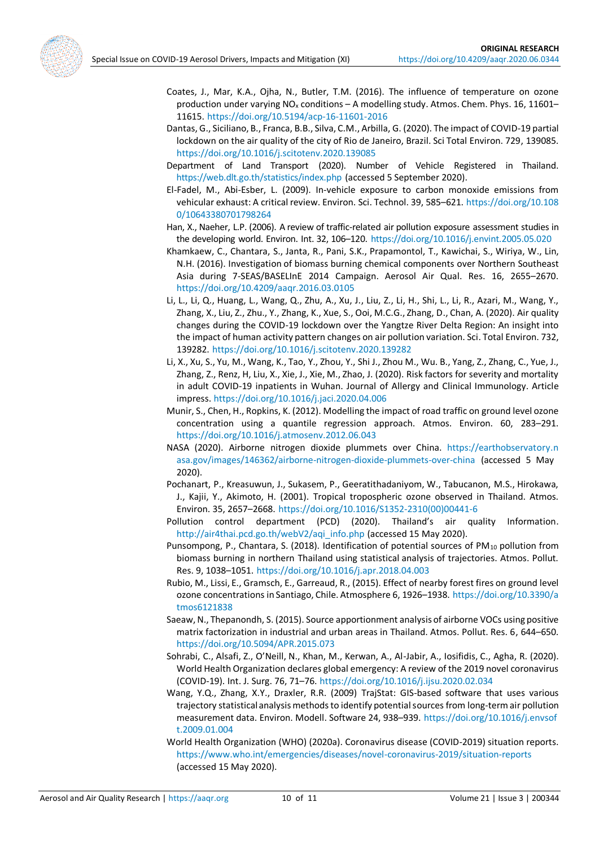

- Coates, J., Mar, K.A., Ojha, N., Butler, T.M. (2016). The influence of temperature on ozone production under varying NO<sup>x</sup> conditions – A modelling study. Atmos. Chem. Phys. 16, 11601– 11615. <https://doi.org/10.5194/acp-16-11601-2016>
- Dantas, G., Siciliano, B., Franca, B.B., Silva, C.M., Arbilla, G. (2020). The impact of COVID-19 partial lockdown on the air quality of the city of Rio de Janeiro, Brazil. Sci Total Environ. 729, 139085. <https://doi.org/10.1016/j.scitotenv.2020.139085>
- Department of Land Transport (2020). Number of Vehicle Registered in Thailand. <https://web.dlt.go.th/statistics/index.php> (accessed 5 September 2020).
- El-Fadel, M., Abi-Esber, L. (2009). In-vehicle exposure to carbon monoxide emissions from vehicular exhaust: A critical review. Environ. Sci. Technol. 39, 585–621. [https://doi.org/10.108](https://doi.org/10.1080/10643380701798264) [0/10643380701798264](https://doi.org/10.1080/10643380701798264)
- Han, X., Naeher, L.P. (2006). A review of traffic-related air pollution exposure assessment studies in the developing world. Environ. Int. 32, 106–120. <https://doi.org/10.1016/j.envint.2005.05.020>
- Khamkaew, C., Chantara, S., Janta, R., Pani, S.K., Prapamontol, T., Kawichai, S., Wiriya, W., Lin, N.H. (2016). Investigation of biomass burning chemical components over Northern Southeast Asia during 7-SEAS/BASELInE 2014 Campaign. Aerosol Air Qual. Res. 16, 2655–2670. <https://doi.org/10.4209/aaqr.2016.03.0105>
- Li, L., Li, Q., Huang, L., Wang, Q., Zhu, A., Xu, J., Liu, Z., Li, H., Shi, L., Li, R., Azari, M., Wang, Y., Zhang, X., Liu, Z., Zhu., Y., Zhang, K., Xue, S., Ooi, M.C.G., Zhang, D., Chan, A. (2020). Air quality changes during the COVID-19 lockdown over the Yangtze River Delta Region: An insight into the impact of human activity pattern changes on air pollution variation. Sci. Total Environ. 732, 139282. <https://doi.org/10.1016/j.scitotenv.2020.139282>
- Li, X., Xu, S., Yu, M., Wang, K., Tao, Y., Zhou, Y., Shi J., Zhou M., Wu. B., Yang, Z., Zhang, C., Yue, J., Zhang, Z., Renz, H, Liu, X., Xie, J., Xie, M., Zhao, J. (2020). Risk factors for severity and mortality in adult COVID-19 inpatients in Wuhan. Journal of Allergy and Clinical Immunology. Article impress[. https://doi.org/10.1016/j.jaci.2020.04.006](https://doi.org/10.1016/j.jaci.2020.04.006)
- Munir, S., Chen, H., Ropkins, K. (2012). Modelling the impact of road traffic on ground level ozone concentration using a quantile regression approach. Atmos. Environ. 60, 283–291. <https://doi.org/10.1016/j.atmosenv.2012.06.043>
- NASA (2020). Airborne nitrogen dioxide plummets over China. [https://earthobservatory.n](https://earthobservatory.nasa.gov/images/146362/airborne-nitrogen-dioxide-plummets-over-china) [asa.gov/images/146362/airborne-nitrogen-dioxide-plummets-over-china](https://earthobservatory.nasa.gov/images/146362/airborne-nitrogen-dioxide-plummets-over-china) (accessed 5 May 2020).
- Pochanart, P., Kreasuwun, J., Sukasem, P., Geeratithadaniyom, W., Tabucanon, M.S., Hirokawa, J., Kajii, Y., Akimoto, H. (2001). Tropical tropospheric ozone observed in Thailand. Atmos. Environ. 35, 2657–2668. [https://doi.org/10.1016/S1352-2310\(00\)00441-6](https://doi.org/10.1016/S1352-2310(00)00441-6)
- Pollution control department (PCD) (2020). Thailand's air quality Information. [http://air4thai.pcd.go.th/webV2/aqi\\_info.php](http://air4thai.pcd.go.th/webV2/aqi_info.php) (accessed 15 May 2020).
- Punsompong, P., Chantara, S. (2018). Identification of potential sources of PM<sub>10</sub> pollution from biomass burning in northern Thailand using statistical analysis of trajectories. Atmos. Pollut. Res. 9, 1038–1051. <https://doi.org/10.1016/j.apr.2018.04.003>
- Rubio, M., Lissi, E., Gramsch, E., Garreaud, R., (2015). Effect of nearby forest fires on ground level ozone concentrations in Santiago, Chile. Atmosphere 6, 1926–1938. [https://doi.org/10.3390/a](https://doi.org/10.3390/atmos6121838) [tmos6121838](https://doi.org/10.3390/atmos6121838)
- Saeaw, N., Thepanondh, S. (2015). Source apportionment analysis of airborne VOCs using positive matrix factorization in industrial and urban areas in Thailand. Atmos. Pollut. Res. 6, 644–650. <https://doi.org/10.5094/APR.2015.073>
- Sohrabi, C., Alsafi, Z., O'Neill, N., Khan, M., Kerwan, A., Al-Jabir, A., Iosifidis, C., Agha, R. (2020). World Health Organization declares global emergency: A review of the 2019 novel coronavirus (COVID-19). Int. J. Surg. 76, 71–76. <https://doi.org/10.1016/j.ijsu.2020.02.034>
- Wang, Y.Q., Zhang, X.Y., Draxler, R.R. (2009) TrajStat: GIS-based software that uses various trajectory statistical analysis methods to identify potential sources from long-term air pollution measurement data. Environ. Modell. Software 24, 938–939. [https://doi.org/10.1016/j.envsof](https://doi.org/10.1016/j.envsoft.2009.01.004) [t.2009.01.004](https://doi.org/10.1016/j.envsoft.2009.01.004)
- World Health Organization (WHO) (2020a). Coronavirus disease (COVID-2019) situation reports. <https://www.who.int/emergencies/diseases/novel-coronavirus-2019/situation-reports> (accessed 15 May 2020).